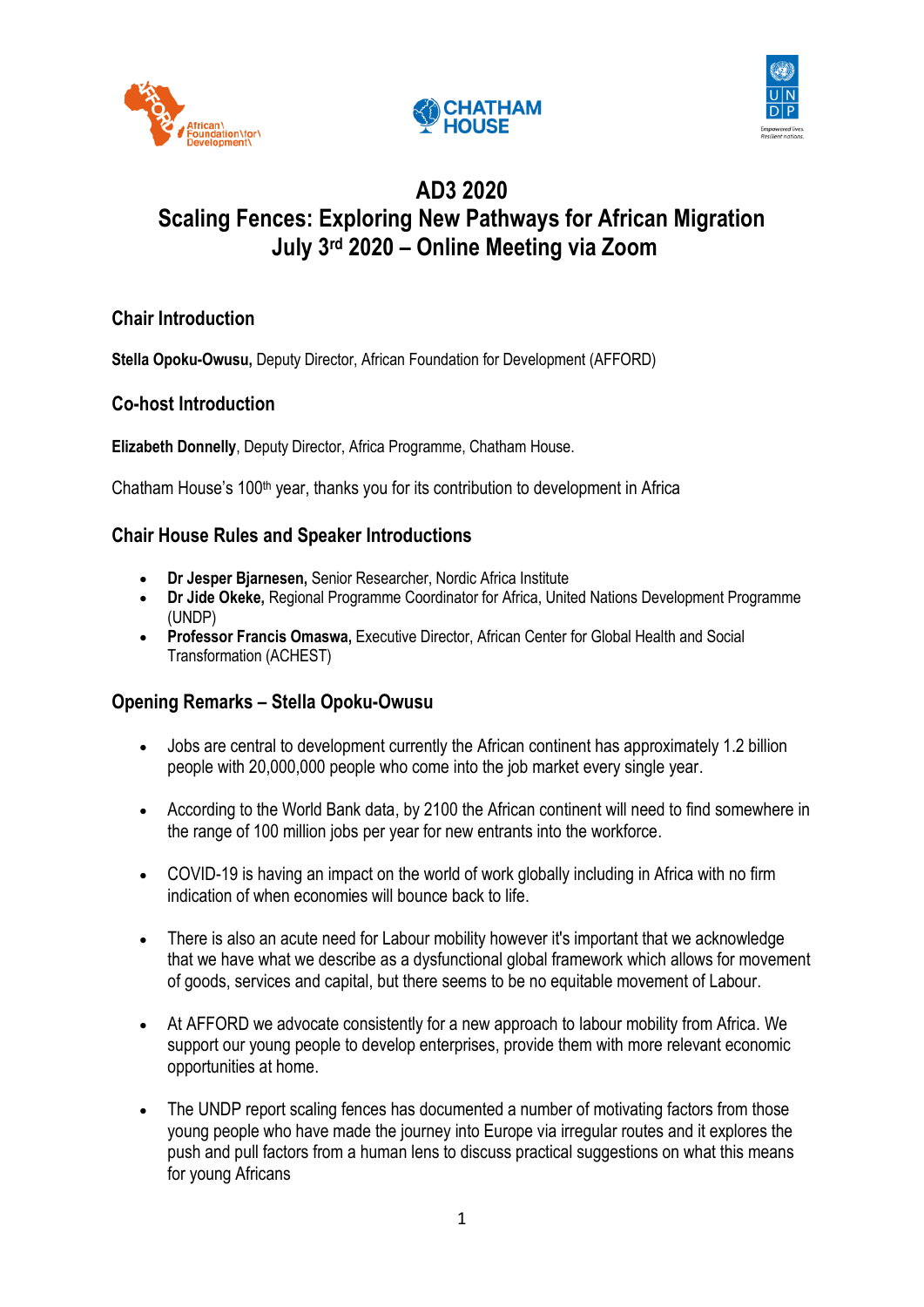





# **AD3 2020 Scaling Fences: Exploring New Pathways for African Migration July 3rd 2020 – Online Meeting via Zoom**

# **Chair Introduction**

**Stella Opoku-Owusu,** Deputy Director, African Foundation for Development (AFFORD)

# **Co-host Introduction**

**Elizabeth Donnelly**, Deputy Director, Africa Programme, Chatham House.

Chatham House's 100<sup>th</sup> year, thanks you for its contribution to development in Africa

### **Chair House Rules and Speaker Introductions**

- **Dr Jesper Bjarnesen,** Senior Researcher, Nordic Africa Institute
- **Dr Jide Okeke,** Regional Programme Coordinator for Africa, United Nations Development Programme (UNDP)
- **Professor Francis Omaswa,** Executive Director, African Center for Global Health and Social Transformation (ACHEST)

### **Opening Remarks – Stella Opoku-Owusu**

- Jobs are central to development currently the African continent has approximately 1.2 billion people with 20,000,000 people who come into the job market every single year.
- According to the World Bank data, by 2100 the African continent will need to find somewhere in the range of 100 million jobs per year for new entrants into the workforce.
- COVID-19 is having an impact on the world of work globally including in Africa with no firm indication of when economies will bounce back to life.
- There is also an acute need for Labour mobility however it's important that we acknowledge that we have what we describe as a dysfunctional global framework which allows for movement of goods, services and capital, but there seems to be no equitable movement of Labour.
- At AFFORD we advocate consistently for a new approach to labour mobility from Africa. We support our young people to develop enterprises, provide them with more relevant economic opportunities at home.
- The UNDP report scaling fences has documented a number of motivating factors from those young people who have made the journey into Europe via irregular routes and it explores the push and pull factors from a human lens to discuss practical suggestions on what this means for young Africans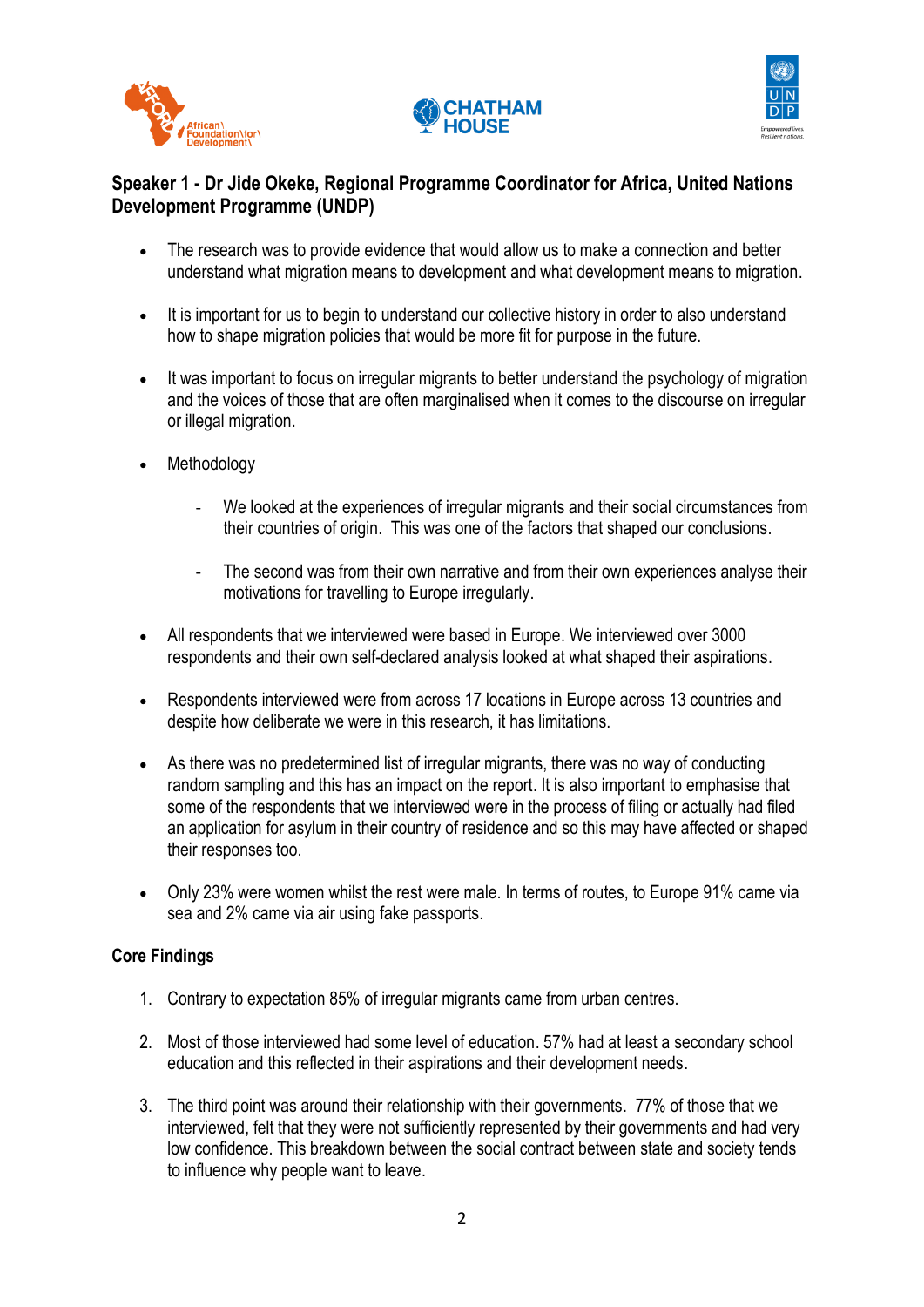





# **Speaker 1 - Dr Jide Okeke, Regional Programme Coordinator for Africa, United Nations Development Programme (UNDP)**

- The research was to provide evidence that would allow us to make a connection and better understand what migration means to development and what development means to migration.
- It is important for us to begin to understand our collective history in order to also understand how to shape migration policies that would be more fit for purpose in the future.
- It was important to focus on irregular migrants to better understand the psychology of migration and the voices of those that are often marginalised when it comes to the discourse on irregular or illegal migration.
- Methodology
	- We looked at the experiences of irregular migrants and their social circumstances from their countries of origin. This was one of the factors that shaped our conclusions.
	- The second was from their own narrative and from their own experiences analyse their motivations for travelling to Europe irregularly.
- All respondents that we interviewed were based in Europe. We interviewed over 3000 respondents and their own self-declared analysis looked at what shaped their aspirations.
- Respondents interviewed were from across 17 locations in Europe across 13 countries and despite how deliberate we were in this research, it has limitations.
- As there was no predetermined list of irregular migrants, there was no way of conducting random sampling and this has an impact on the report. It is also important to emphasise that some of the respondents that we interviewed were in the process of filing or actually had filed an application for asylum in their country of residence and so this may have affected or shaped their responses too.
- Only 23% were women whilst the rest were male. In terms of routes, to Europe 91% came via sea and 2% came via air using fake passports.

#### **Core Findings**

- 1. Contrary to expectation 85% of irregular migrants came from urban centres.
- 2. Most of those interviewed had some level of education. 57% had at least a secondary school education and this reflected in their aspirations and their development needs.
- 3. The third point was around their relationship with their governments. 77% of those that we interviewed, felt that they were not sufficiently represented by their governments and had very low confidence. This breakdown between the social contract between state and society tends to influence why people want to leave.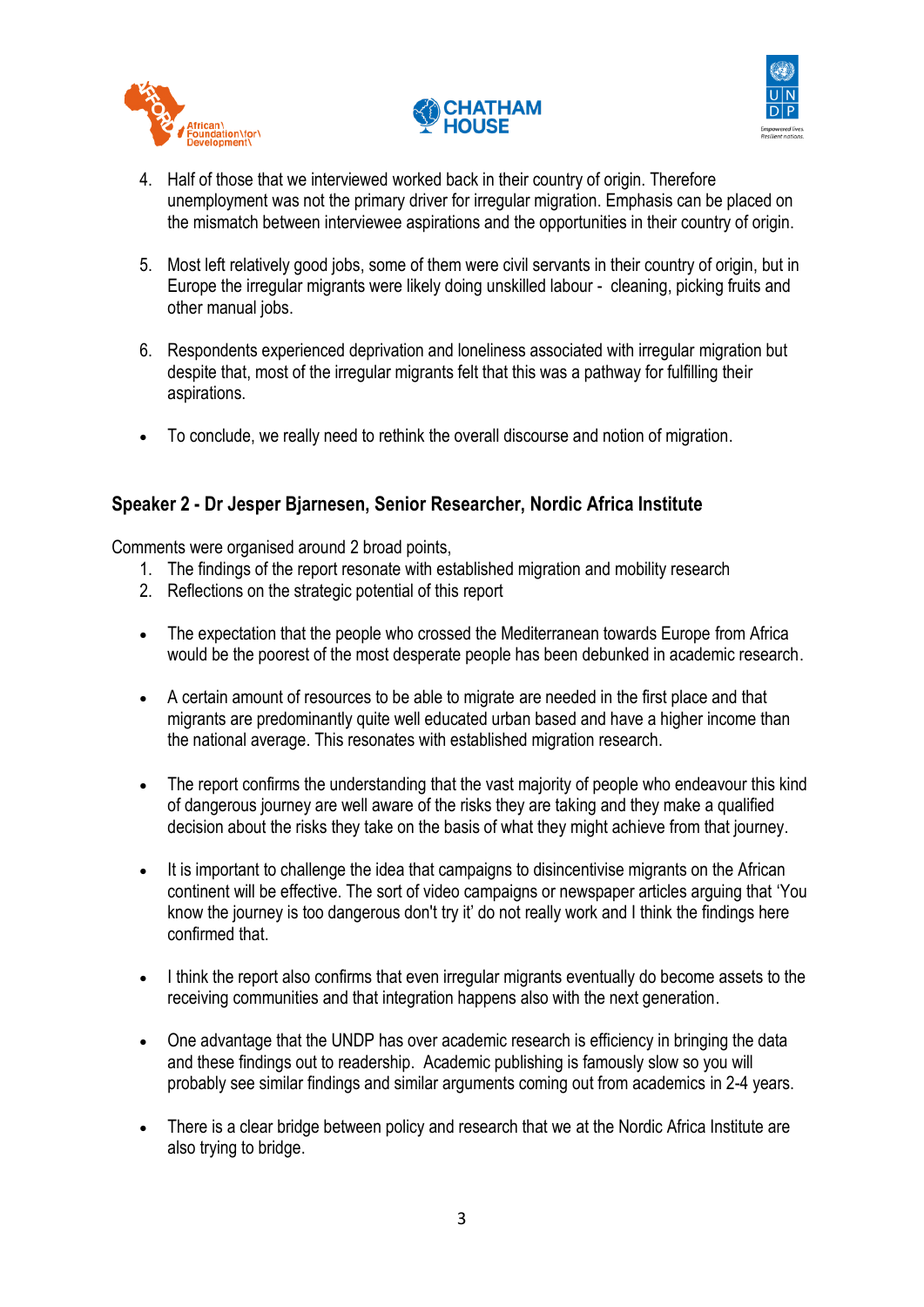





- 4. Half of those that we interviewed worked back in their country of origin. Therefore unemployment was not the primary driver for irregular migration. Emphasis can be placed on the mismatch between interviewee aspirations and the opportunities in their country of origin.
- 5. Most left relatively good jobs, some of them were civil servants in their country of origin, but in Europe the irregular migrants were likely doing unskilled labour - cleaning, picking fruits and other manual jobs.
- 6. Respondents experienced deprivation and loneliness associated with irregular migration but despite that, most of the irregular migrants felt that this was a pathway for fulfilling their aspirations.
- To conclude, we really need to rethink the overall discourse and notion of migration.

# **Speaker 2 - Dr Jesper Bjarnesen, Senior Researcher, Nordic Africa Institute**

Comments were organised around 2 broad points,

- 1. The findings of the report resonate with established migration and mobility research
- 2. Reflections on the strategic potential of this report
- The expectation that the people who crossed the Mediterranean towards Europe from Africa would be the poorest of the most desperate people has been debunked in academic research.
- A certain amount of resources to be able to migrate are needed in the first place and that migrants are predominantly quite well educated urban based and have a higher income than the national average. This resonates with established migration research.
- The report confirms the understanding that the vast majority of people who endeavour this kind of dangerous journey are well aware of the risks they are taking and they make a qualified decision about the risks they take on the basis of what they might achieve from that journey.
- It is important to challenge the idea that campaigns to disincentivise migrants on the African continent will be effective. The sort of video campaigns or newspaper articles arguing that 'You know the journey is too dangerous don't try it' do not really work and I think the findings here confirmed that.
- I think the report also confirms that even irregular migrants eventually do become assets to the receiving communities and that integration happens also with the next generation.
- One advantage that the UNDP has over academic research is efficiency in bringing the data and these findings out to readership. Academic publishing is famously slow so you will probably see similar findings and similar arguments coming out from academics in 2-4 years.
- There is a clear bridge between policy and research that we at the Nordic Africa Institute are also trying to bridge.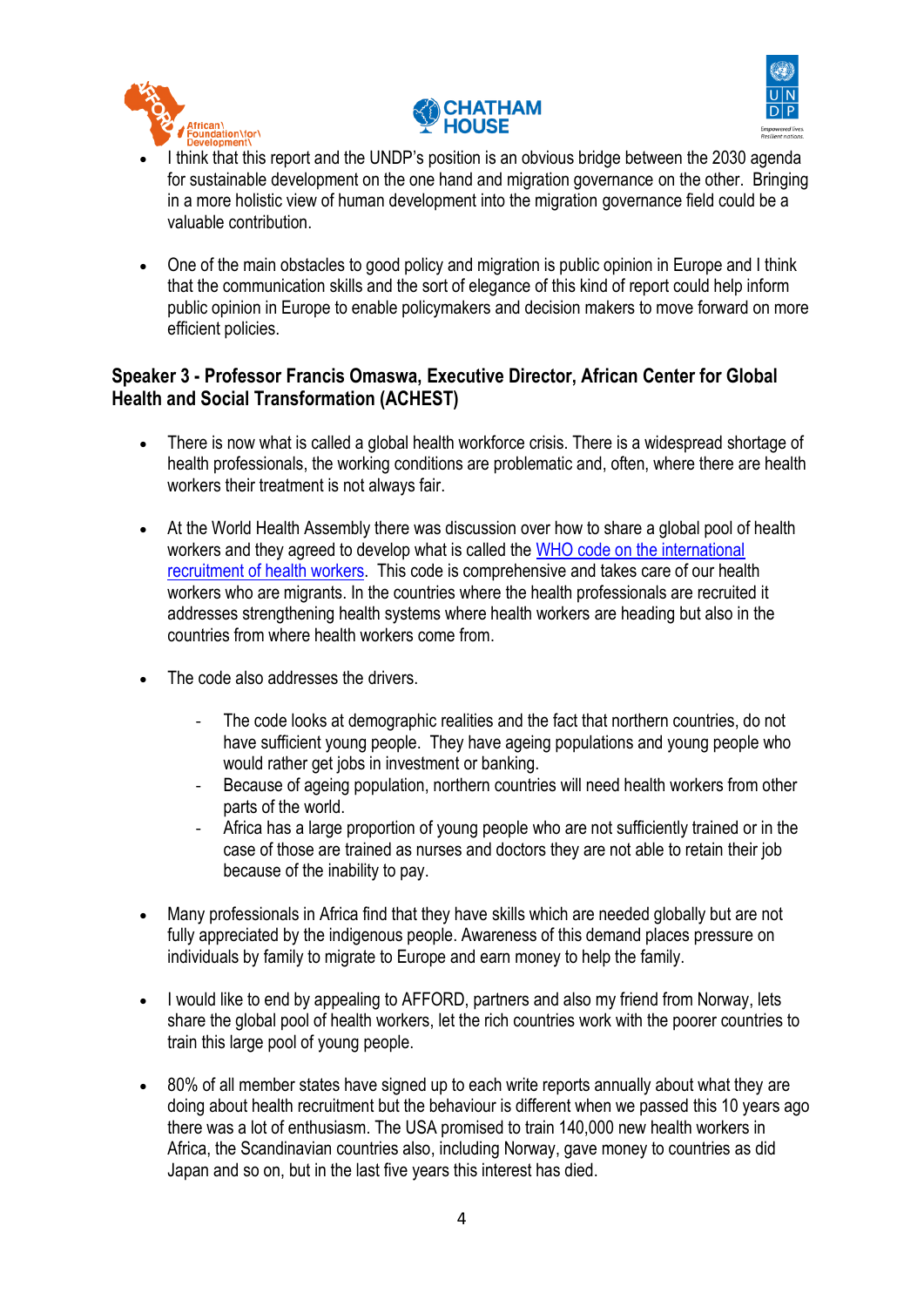





- I think that this report and the UNDP's position is an obvious bridge between the 2030 agenda for sustainable development on the one hand and migration governance on the other. Bringing in a more holistic view of human development into the migration governance field could be a valuable contribution.
- One of the main obstacles to good policy and migration is public opinion in Europe and I think that the communication skills and the sort of elegance of this kind of report could help inform public opinion in Europe to enable policymakers and decision makers to move forward on more efficient policies.

### **Speaker 3 - Professor Francis Omaswa, Executive Director, African Center for Global Health and Social Transformation (ACHEST)**

- There is now what is called a global health workforce crisis. There is a widespread shortage of health professionals, the working conditions are problematic and, often, where there are health workers their treatment is not always fair.
- At the World Health Assembly there was discussion over how to share a global pool of health workers and they agreed to develop what is called the WHO [code on the international](https://www.who.int/hrh/migration/code/NRI2018FinalEN.pdf?ua=1#:~:text=In%202010%20at%20the%2063rd,improved%20data%2C%20information%2C%20and%20international)  [recruitment of health workers.](https://www.who.int/hrh/migration/code/NRI2018FinalEN.pdf?ua=1#:~:text=In%202010%20at%20the%2063rd,improved%20data%2C%20information%2C%20and%20international) This code is comprehensive and takes care of our health workers who are migrants. In the countries where the health professionals are recruited it addresses strengthening health systems where health workers are heading but also in the countries from where health workers come from.
- The code also addresses the drivers.
	- The code looks at demographic realities and the fact that northern countries, do not have sufficient young people. They have ageing populations and young people who would rather get jobs in investment or banking.
	- Because of ageing population, northern countries will need health workers from other parts of the world.
	- Africa has a large proportion of young people who are not sufficiently trained or in the case of those are trained as nurses and doctors they are not able to retain their job because of the inability to pay.
- Many professionals in Africa find that they have skills which are needed globally but are not fully appreciated by the indigenous people. Awareness of this demand places pressure on individuals by family to migrate to Europe and earn money to help the family.
- I would like to end by appealing to AFFORD, partners and also my friend from Norway, lets share the global pool of health workers, let the rich countries work with the poorer countries to train this large pool of young people.
- 80% of all member states have signed up to each write reports annually about what they are doing about health recruitment but the behaviour is different when we passed this 10 years ago there was a lot of enthusiasm. The USA promised to train 140,000 new health workers in Africa, the Scandinavian countries also, including Norway, gave money to countries as did Japan and so on, but in the last five years this interest has died.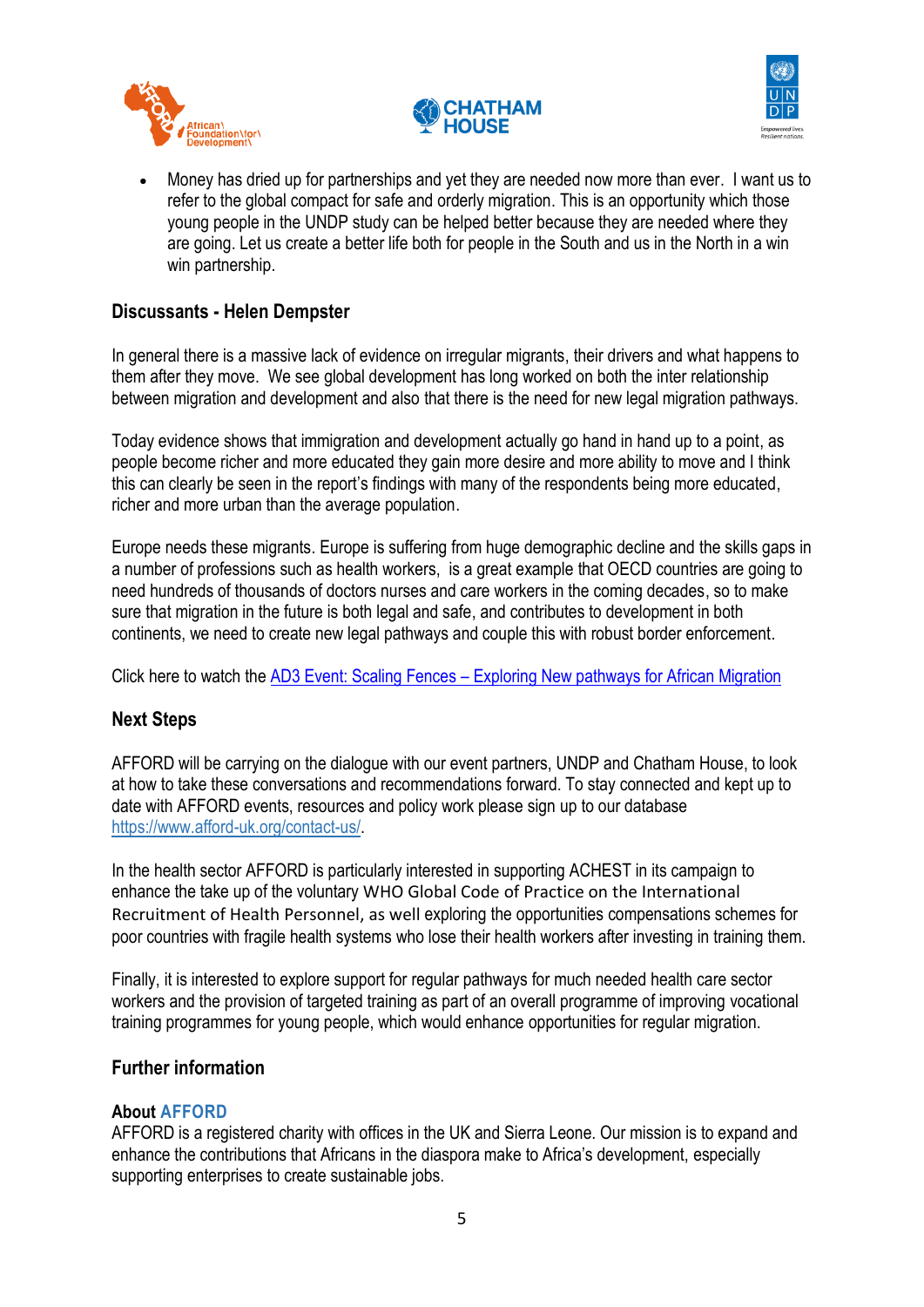





• Money has dried up for partnerships and yet they are needed now more than ever. I want us to refer to the global compact for safe and orderly migration. This is an opportunity which those young people in the UNDP study can be helped better because they are needed where they are going. Let us create a better life both for people in the South and us in the North in a win win partnership.

# **Discussants - Helen Dempster**

In general there is a massive lack of evidence on irregular migrants, their drivers and what happens to them after they move. We see global development has long worked on both the inter relationship between migration and development and also that there is the need for new legal migration pathways.

Today evidence shows that immigration and development actually go hand in hand up to a point, as people become richer and more educated they gain more desire and more ability to move and I think this can clearly be seen in the report's findings with many of the respondents being more educated, richer and more urban than the average population.

Europe needs these migrants. Europe is suffering from huge demographic decline and the skills gaps in a number of professions such as health workers, is a great example that OECD countries are going to need hundreds of thousands of doctors nurses and care workers in the coming decades, so to make sure that migration in the future is both legal and safe, and contributes to development in both continents, we need to create new legal pathways and couple this with robust border enforcement.

Click here to watch the AD3 Event: Scaling Fences – [Exploring New pathways for African Migration](https://www.facebook.com/watch/live/?v=594739994797947&ref=watch_permalink)

### **Next Steps**

AFFORD will be carrying on the dialogue with our event partners, UNDP and Chatham House, to look at how to take these conversations and recommendations forward. To stay connected and kept up to date with AFFORD events, resources and policy work please sign up to our database [https://www.afford-uk.org/contact-us/.](https://www.afford-uk.org/contact-us/)

In the health sector AFFORD is particularly interested in supporting ACHEST in its campaign to enhance the take up of the voluntary WHO Global Code of Practice on the International Recruitment of Health Personnel, as well exploring the opportunities compensations schemes for poor countries with fragile health systems who lose their health workers after investing in training them.

Finally, it is interested to explore support for regular pathways for much needed health care sector workers and the provision of targeted training as part of an overall programme of improving vocational training programmes for young people, which would enhance opportunities for regular migration.

### **Further information**

#### **About [AFFORD](https://www.afford-uk.org/about-us/)**

AFFORD is a registered charity with offices in the UK and Sierra Leone. Our mission is to expand and enhance the contributions that Africans in the diaspora make to Africa's development, especially supporting enterprises to create sustainable jobs.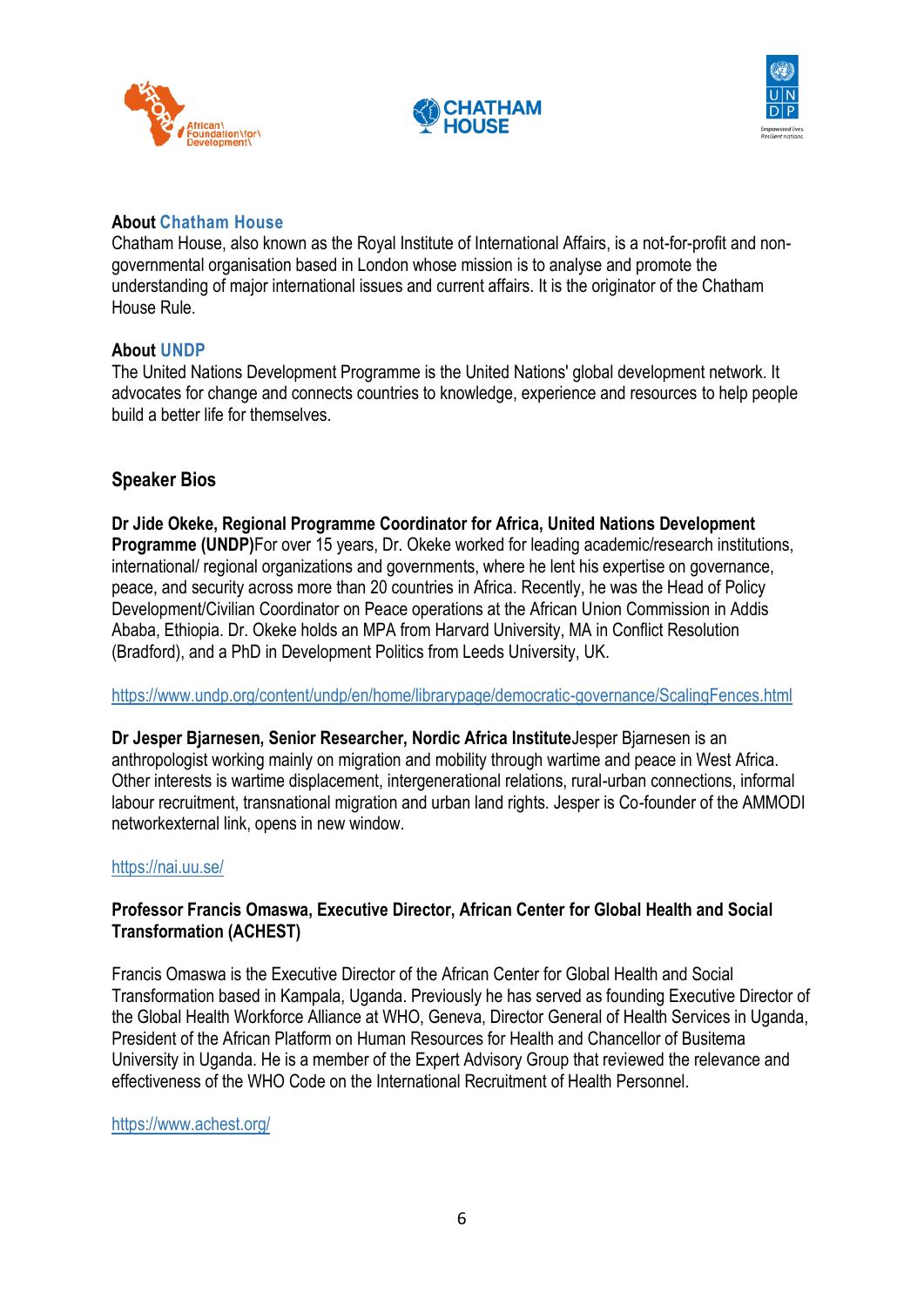





#### **About [Chatham House](https://www.undp.org/content/undp/en/home.html)**

Chatham House, also known as the Royal Institute of International Affairs, is a not-for-profit and nongovernmental organisation based in London whose mission is to analyse and promote the understanding of major international issues and current affairs. It is the originator of the Chatham House Rule.

#### **About [UNDP](https://www.undp.org/content/undp/en/home.html)**

The United Nations Development Programme is the United Nations' global development network. It advocates for change and connects countries to knowledge, experience and resources to help people build a better life for themselves.

#### **Speaker Bios**

**Dr Jide Okeke, Regional Programme Coordinator for Africa, United Nations Development Programme (UNDP)**For over 15 years, Dr. Okeke worked for leading academic/research institutions, international/ regional organizations and governments, where he lent his expertise on governance, peace, and security across more than 20 countries in Africa. Recently, he was the Head of Policy Development/Civilian Coordinator on Peace operations at the African Union Commission in Addis Ababa, Ethiopia. Dr. Okeke holds an MPA from Harvard University, MA in Conflict Resolution (Bradford), and a PhD in Development Politics from Leeds University, UK.

<https://www.undp.org/content/undp/en/home/librarypage/democratic-governance/ScalingFences.html>

**Dr Jesper Bjarnesen, Senior Researcher, Nordic Africa Institute**Jesper Bjarnesen is an anthropologist working mainly on migration and mobility through wartime and peace in West Africa. Other interests is wartime displacement, intergenerational relations, rural-urban connections, informal labour recruitment, transnational migration and urban land rights. Jesper is Co-founder of the AMMODI networkexternal link, opens in new window.

#### <https://nai.uu.se/>

#### **Professor Francis Omaswa, Executive Director, African Center for Global Health and Social Transformation (ACHEST)**

Francis Omaswa is the Executive Director of the African Center for Global Health and Social Transformation based in Kampala, Uganda. Previously he has served as founding Executive Director of the Global Health Workforce Alliance at WHO, Geneva, Director General of Health Services in Uganda, President of the African Platform on Human Resources for Health and Chancellor of Busitema University in Uganda. He is a member of the Expert Advisory Group that reviewed the relevance and effectiveness of the WHO Code on the International Recruitment of Health Personnel.

<https://www.achest.org/>